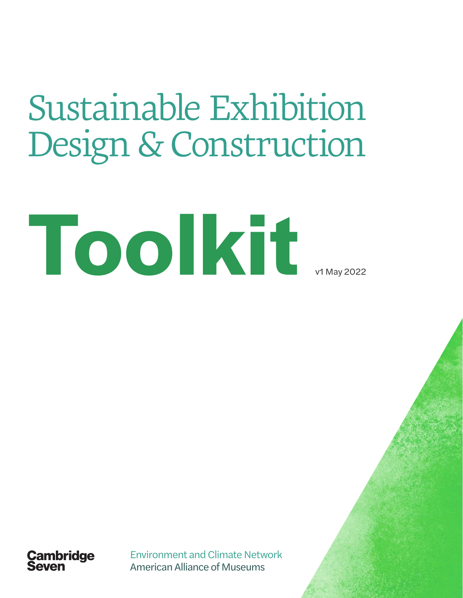# Sustainable Exhibition Design & Construction





Environment and Climate Network American Alliance of Museums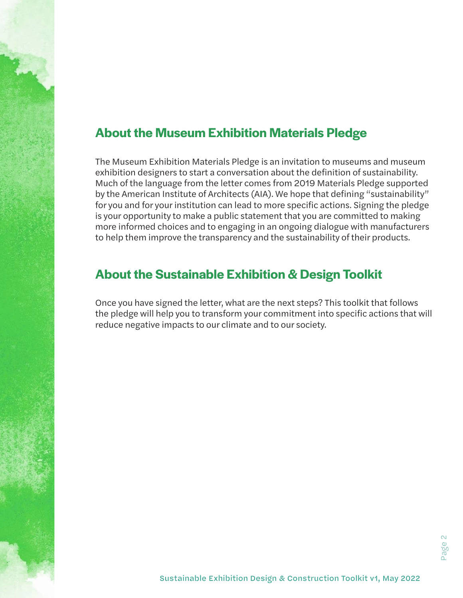# **About the Museum Exhibition Materials Pledge**

The Museum Exhibition Materials Pledge is an invitation to museums and museum exhibition designers to start a conversation about the definition of sustainability. Much of the language from the letter comes from 2019 Materials Pledge supported by the American Institute of Architects (AIA). We hope that defining "sustainability" for you and for your institution can lead to more specific actions. Signing the pledge is your opportunity to make a public statement that you are committed to making more informed choices and to engaging in an ongoing dialogue with manufacturers to help them improve the transparency and the sustainability of their products.

# **About the Sustainable Exhibition & Design Toolkit**

Once you have signed the letter, what are the next steps? This toolkit that follows the pledge will help you to transform your commitment into specific actions that will reduce negative impacts to our climate and to our society.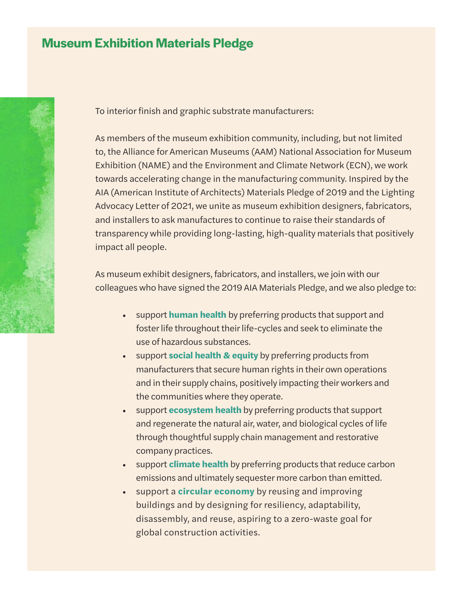## **Museum Exhibition Materials Pledge**



To interior finish and graphic substrate manufacturers:

As members of the museum exhibition community, including, but not limited to, the Alliance for American Museums (AAM) National Association for Museum Exhibition (NAME) and the Environment and Climate Network (ECN), we work towards accelerating change in the manufacturing community. Inspired by the AIA (American Institute of Architects) Materials Pledge of 2019 and the Lighting Advocacy Letter of 2021, we unite as museum exhibition designers, fabricators, and installers to ask manufactures to continue to raise their standards of transparency while providing long-lasting, high-quality materials that positively impact all people.

As museum exhibit designers, fabricators, and installers, we join with our colleagues who have signed the 2019 AIA Materials Pledge, and we also pledge to:

- support **human health** by preferring products that support and foster life throughout their life-cycles and seek to eliminate the use of hazardous substances.
- support **social health & equity** by preferring products from manufacturers that secure human rights in their own operations and in their supply chains, positively impacting their workers and the communities where they operate.
- support **ecosystem health** by preferring products that support and regenerate the natural air, water, and biological cycles of life through thoughtful supply chain management and restorative company practices.
- support **climate health** by preferring products that reduce carbon emissions and ultimately sequester more carbon than emitted.
- support a **circular economy** by reusing and improving buildings and by designing for resiliency, adaptability, disassembly, and reuse, aspiring to a zero-waste goal for global construction activities.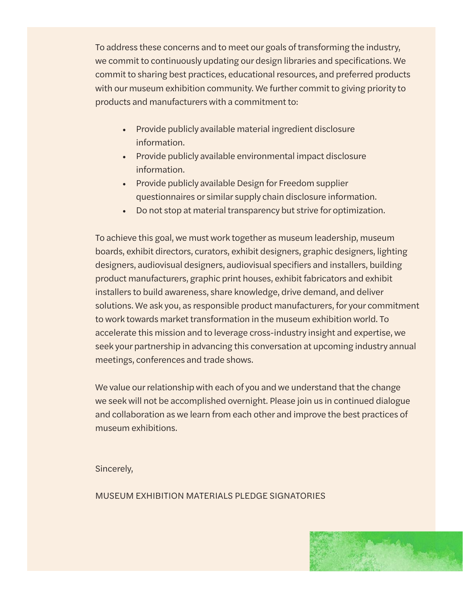To address these concerns and to meet our goals of transforming the industry, we commit to continuously updating our design libraries and specifications. We commit to sharing best practices, educational resources, and preferred products with our museum exhibition community. We further commit to giving priority to products and manufacturers with a commitment to:

- Provide publicly available material ingredient disclosure information.
- Provide publicly available environmental impact disclosure information.
- Provide publicly available Design for Freedom supplier questionnaires or similar supply chain disclosure information.
- Do not stop at material transparency but strive for optimization.

To achieve this goal, we must work together as museum leadership, museum boards, exhibit directors, curators, exhibit designers, graphic designers, lighting designers, audiovisual designers, audiovisual specifiers and installers, building product manufacturers, graphic print houses, exhibit fabricators and exhibit installers to build awareness, share knowledge, drive demand, and deliver solutions. We ask you, as responsible product manufacturers, for your commitment to work towards market transformation in the museum exhibition world. To accelerate this mission and to leverage cross-industry insight and expertise, we seek your partnership in advancing this conversation at upcoming industry annual meetings, conferences and trade shows.

We value our relationship with each of you and we understand that the change we seek will not be accomplished overnight. Please join us in continued dialogue and collaboration as we learn from each other and improve the best practices of museum exhibitions.

Sincerely,

MUSEUM EXHIBITION MATERIALS PLEDGE SIGNATORIES

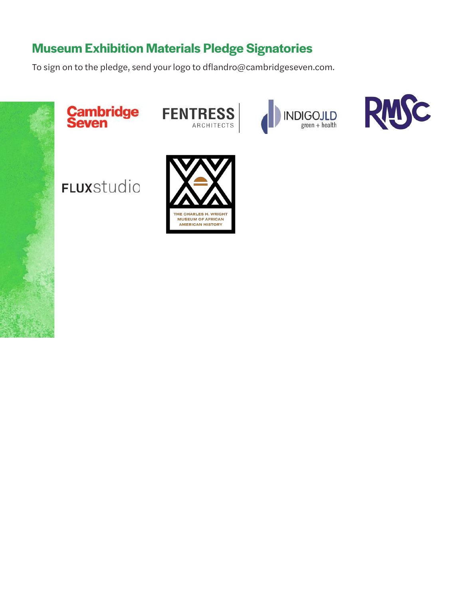# **Museum Exhibition Materials Pledge Signatories**

To sign on to the pledge, send your logo to dflandro@cambridgeseven.com.











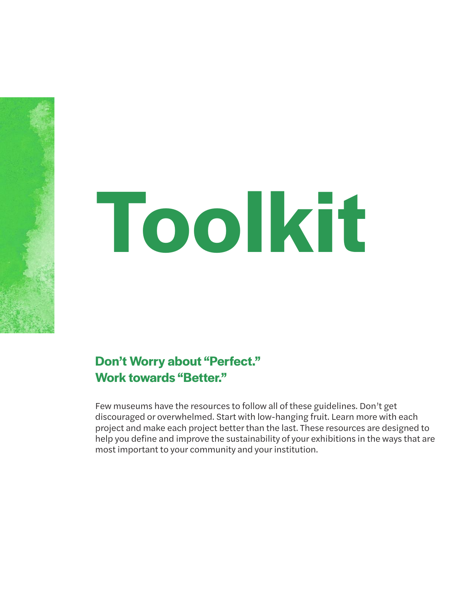# **Toolkit**

**Don't Worry about "Perfect." Work towards "Better."**

Few museums have the resources to follow all of these guidelines. Don't get discouraged or overwhelmed. Start with low-hanging fruit. Learn more with each project and make each project better than the last. These resources are designed to help you define and improve the sustainability of your exhibitions in the ways that are most important to your community and your institution.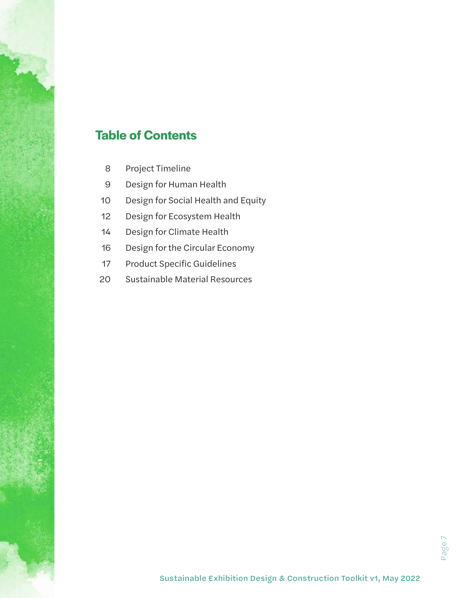# **Table of Contents**

- Project Timeline
- Design for Human Health
- Design for Social Health and Equity
- Design for Ecosystem Health
- Design for Climate Health
- Design for the Circular Economy
- Product Specific Guidelines
- Sustainable Material Resources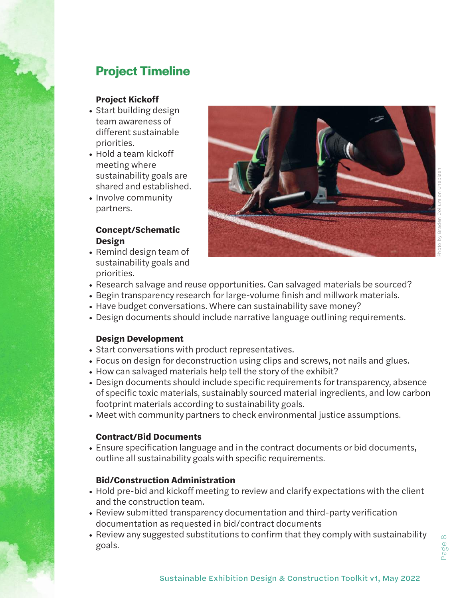# **Project Timeline**

#### **Project Kickoff**

- Start building design team awareness of different sustainable priorities.
- Hold a team kickoff meeting where sustainability goals are shared and established.
- Involve community partners.

#### **Concept/Schematic Design**

• Remind design team of sustainability goals and priorities.



- Research salvage and reuse opportunities. Can salvaged materials be sourced?
- Begin transparency research for large-volume finish and millwork materials.
- Have budget conversations. Where can sustainability save money?
- Design documents should include narrative language outlining requirements.

#### **Design Development**

- Start conversations with product representatives.
- Focus on design for deconstruction using clips and screws, not nails and glues.
- How can salvaged materials help tell the story of the exhibit?
- Design documents should include specific requirements for transparency, absence of specific toxic materials, sustainably sourced material ingredients, and low carbon footprint materials according to sustainability goals.
- Meet with community partners to check environmental justice assumptions.

#### **Contract/Bid Documents**

• Ensure specification language and in the contract documents or bid documents, outline all sustainability goals with specific requirements.

#### **Bid/Construction Administration**

- Hold pre-bid and kickoff meeting to review and clarify expectations with the client and the construction team.
- Review submitted transparency documentation and third-party verification documentation as requested in bid/contract documents
- Review any suggested substitutions to confirm that they comply with sustainability goals.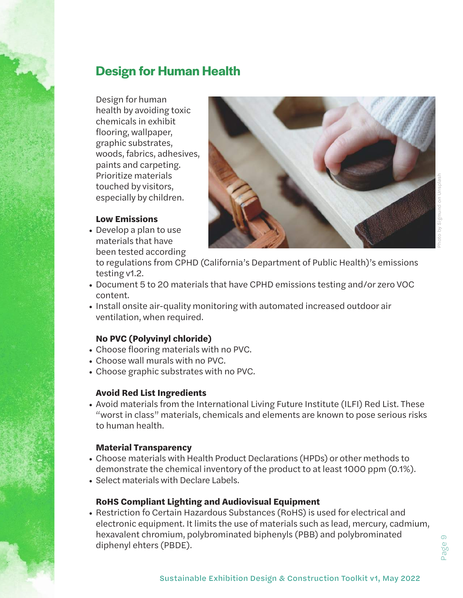# Photo by Sigmund on Unsplash

# **Design for Human Health**

Design for human health by avoiding toxic chemicals in exhibit flooring, wallpaper, graphic substrates, woods, fabrics, adhesives, paints and carpeting. Prioritize materials touched by visitors, especially by children.

#### **Low Emissions**

• Develop a plan to use materials that have been tested according

to regulations from CPHD (California's Department of Public Health)'s emissions testing v1.2.

- Document 5 to 20 materials that have CPHD emissions testing and/or zero VOC content.
- Install onsite air-quality monitoring with automated increased outdoor air ventilation, when required.

#### **No PVC (Polyvinyl chloride)**

- Choose flooring materials with no PVC.
- Choose wall murals with no PVC.
- Choose graphic substrates with no PVC.

#### **Avoid Red List Ingredients**

• Avoid materials from the International Living Future Institute (ILFI) Red List. These "worst in class" materials, chemicals and elements are known to pose serious risks to human health.

#### **Material Transparency**

- Choose materials with Health Product Declarations (HPDs) or other methods to demonstrate the chemical inventory of the product to at least 1000 ppm (0.1%).
- Select materials with Declare Labels.

#### **RoHS Compliant Lighting and Audiovisual Equipment**

• Restriction fo Certain Hazardous Substances (RoHS) is used for electrical and electronic equipment. It limits the use of materials such as lead, mercury, cadmium, hexavalent chromium, polybrominated biphenyls (PBB) and polybrominated diphenyl ehters (PBDE).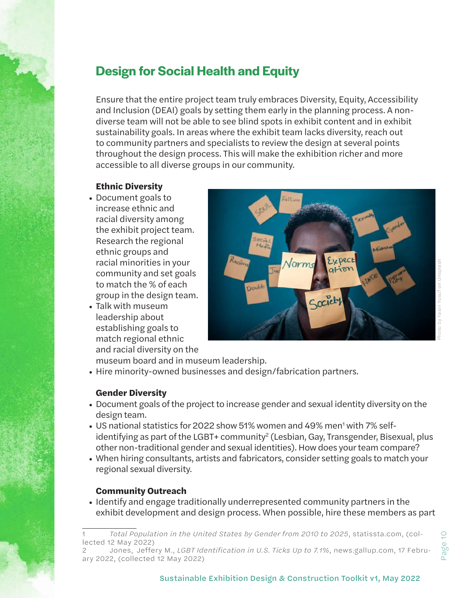# **Design for Social Health and Equity**

Ensure that the entire project team truly embraces Diversity, Equity, Accessibility and Inclusion (DEAI) goals by setting them early in the planning process. A nondiverse team will not be able to see blind spots in exhibit content and in exhibit sustainability goals. In areas where the exhibit team lacks diversity, reach out to community partners and specialists to review the design at several points throughout the design process. This will make the exhibition richer and more accessible to all diverse groups in our community.

#### **Ethnic Diversity**

- Document goals to increase ethnic and racial diversity among the exhibit project team. Research the regional ethnic groups and racial minorities in your community and set goals to match the % of each group in the design team.
- Talk with museum leadership about establishing goals to match regional ethnic and racial diversity on the



Photo by Yasin Yusuf on Unsplash

museum board and in museum leadership. • Hire minority-owned businesses and design/fabrication partners.

#### **Gender Diversity**

- Document goals of the project to increase gender and sexual identity diversity on the design team.
- US national statistics for 2022 show 51% women and 49% men<sup>1</sup> with 7% selfidentifying as part of the LGBT+ community<sup>2</sup> (Lesbian, Gay, Transgender, Bisexual, plus other non-traditional gender and sexual identities). How does your team compare?
- When hiring consultants, artists and fabricators, consider setting goals to match your regional sexual diversity.

#### **Community Outreach**

• Identify and engage traditionally underrepresented community partners in the exhibit development and design process. When possible, hire these members as part

<sup>1</sup> *Total Population in the United States by Gender from 2010 to 2025*, statissta.com, (collected 12 May 2022)

<sup>2</sup> Jones, Jeffery M., *LGBT Identification in U.S. Ticks Up to 7.1%*, news.gallup.com, 17 February 2022, (collected 12 May 2022)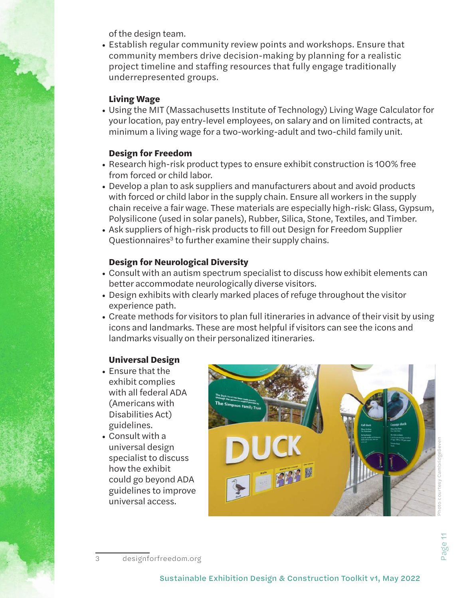of the design team.

• Establish regular community review points and workshops. Ensure that community members drive decision-making by planning for a realistic project timeline and staffing resources that fully engage traditionally underrepresented groups.

#### **Living Wage**

• Using the MIT (Massachusetts Institute of Technology) Living Wage Calculator for your location, pay entry-level employees, on salary and on limited contracts, at minimum a living wage for a two-working-adult and two-child family unit.

#### **Design for Freedom**

- Research high-risk product types to ensure exhibit construction is 100% free from forced or child labor.
- Develop a plan to ask suppliers and manufacturers about and avoid products with forced or child labor in the supply chain. Ensure all workers in the supply chain receive a fair wage. These materials are especially high-risk: Glass, Gypsum, Polysilicone (used in solar panels), Rubber, Silica, Stone, Textiles, and Timber.
- Ask suppliers of high-risk products to fill out Design for Freedom Supplier Questionnaires<sup>3</sup> to further examine their supply chains.

#### **Design for Neurological Diversity**

- Consult with an autism spectrum specialist to discuss how exhibit elements can better accommodate neurologically diverse visitors.
- Design exhibits with clearly marked places of refuge throughout the visitor experience path.
- Create methods for visitors to plan full itineraries in advance of their visit by using icons and landmarks. These are most helpful if visitors can see the icons and landmarks visually on their personalized itineraries.

#### **Universal Design**

- Ensure that the exhibit complies with all federal ADA (Americans with Disabilities Act) guidelines.
- Consult with a universal design specialist to discuss how the exhibit could go beyond ADA guidelines to improve universal access.



<sup>3</sup> designforfreedom.org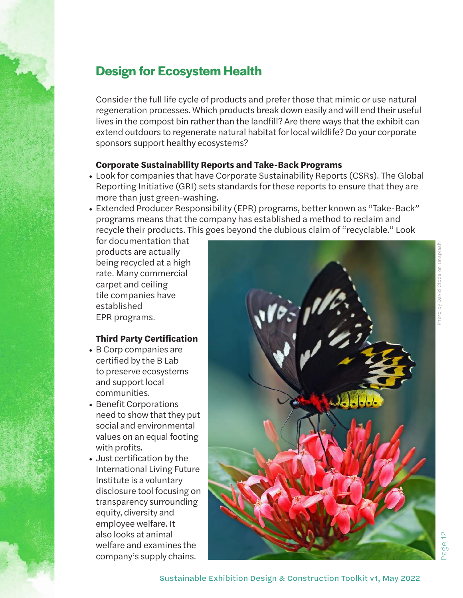# **Design for Ecosystem Health**

Consider the full life cycle of products and prefer those that mimic or use natural regeneration processes. Which products break down easily and will end their useful lives in the compost bin rather than the landfill? Are there ways that the exhibit can extend outdoors to regenerate natural habitat for local wildlife? Do your corporate sponsors support healthy ecosystems?

#### **Corporate Sustainability Reports and Take-Back Programs**

- Look for companies that have Corporate Sustainability Reports (CSRs). The Global Reporting Initiative (GRI) sets standards for these reports to ensure that they are more than just green-washing.
- Extended Producer Responsibility (EPR) programs, better known as "Take-Back" programs means that the company has established a method to reclaim and recycle their products. This goes beyond the dubious claim of "recyclable." Look

for documentation that products are actually being recycled at a high rate. Many commercial carpet and ceiling tile companies have established EPR programs.

#### **Third Party Certification**

- B Corp companies are certified by the B Lab to preserve ecosystems and support local communities.
- Benefit Corporations need to show that they put social and environmental values on an equal footing with profits.
- Just certification by the International Living Future Institute is a voluntary disclosure tool focusing on transparency surrounding equity, diversity and employee welfare. It also looks at animal welfare and examines the company's supply chains.



Page 12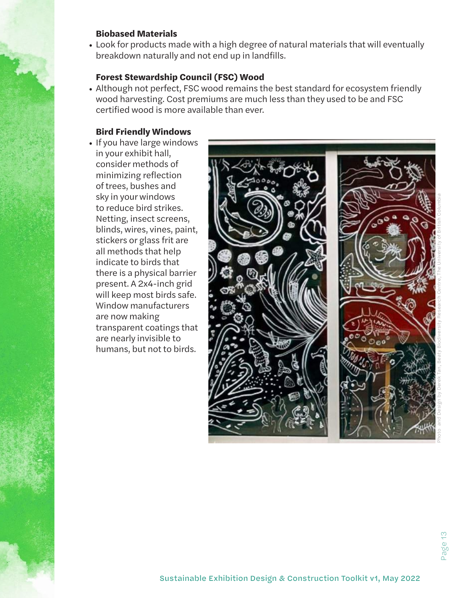#### **Biobased Materials**

• Look for products made with a high degree of natural materials that will eventually breakdown naturally and not end up in landfills.

#### **Forest Stewardship Council (FSC) Wood**

• Although not perfect, FSC wood remains the best standard for ecosystem friendly wood harvesting. Cost premiums are much less than they used to be and FSC certified wood is more available than ever.

#### **Bird Friendly Windows**

• If you have large windows in your exhibit hall, consider methods of minimizing reflection of trees, bushes and sky in your windows to reduce bird strikes. Netting, insect screens, blinds, wires, vines, paint, stickers or glass frit are all methods that help indicate to birds that there is a physical barrier present. A 2x4-inch grid will keep most birds safe. Window manufacturers are now making transparent coatings that are nearly invisible to humans, but not to birds.

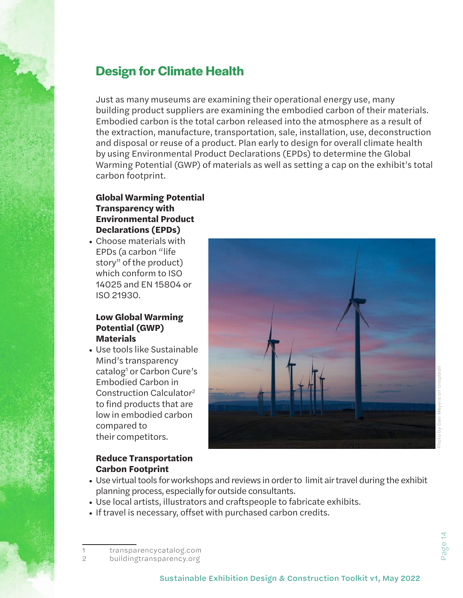# **Design for Climate Health**

Just as many museums are examining their operational energy use, many building product suppliers are examining the embodied carbon of their materials. Embodied carbon is the total carbon released into the atmosphere as a result of the extraction, manufacture, transportation, sale, installation, use, deconstruction and disposal or reuse of a product. Plan early to design for overall climate health by using Environmental Product Declarations (EPDs) to determine the Global Warming Potential (GWP) of materials as well as setting a cap on the exhibit's total carbon footprint.

#### **Global Warming Potential Transparency with Environmental Product Declarations (EPDs)**

• Choose materials with EPDs (a carbon "life story" of the product) which conform to ISO 14025 and EN 15804 or ISO 21930.

#### **Low Global Warming Potential (GWP) Materials**

• Use tools like Sustainable Mind's transparency catalog<sup>1</sup> or Carbon Cure's Embodied Carbon in Construction Calculator2 to find products that are low in embodied carbon compared to their competitors.



#### **Reduce Transportation Carbon Footprint**

- Use virtual tools for workshops and reviews in order to limit air travel during the exhibit planning process, especially for outside consultants.
- Use local artists, illustrators and craftspeople to fabricate exhibits.
- If travel is necessary, offset with purchased carbon credits.

<sup>1</sup> transparencycatalog.com

<sup>2</sup> buildingtransparency.org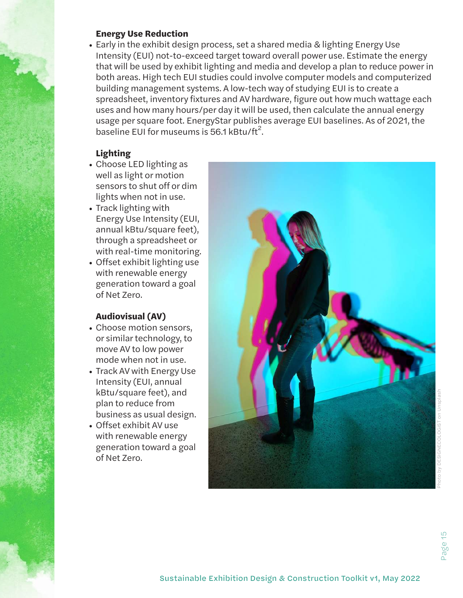#### **Energy Use Reduction**

• Early in the exhibit design process, set a shared media & lighting Energy Use Intensity (EUI) not-to-exceed target toward overall power use. Estimate the energy that will be used by exhibit lighting and media and develop a plan to reduce power in both areas. High tech EUI studies could involve computer models and computerized building management systems. A low-tech way of studying EUI is to create a spreadsheet, inventory fixtures and AV hardware, figure out how much wattage each uses and how many hours/per day it will be used, then calculate the annual energy usage per square foot. EnergyStar publishes average EUI baselines. As of 2021, the baseline EUI for museums is 56.1 kBtu/ft<sup>2</sup>.

#### **Lighting**

- Choose LED lighting as well as light or motion sensors to shut off or dim lights when not in use.
- Track lighting with Energy Use Intensity (EUI, annual kBtu/square feet), through a spreadsheet or with real-time monitoring.
- Offset exhibit lighting use with renewable energy generation toward a goal of Net Zero.

#### **Audiovisual (AV)**

- Choose motion sensors, or similar technology, to move AV to low power mode when not in use.
- Track AV with Energy Use Intensity (EUI, annual kBtu/square feet), and plan to reduce from business as usual design.
- Offset exhibit AV use with renewable energy generation toward a goal of Net Zero.

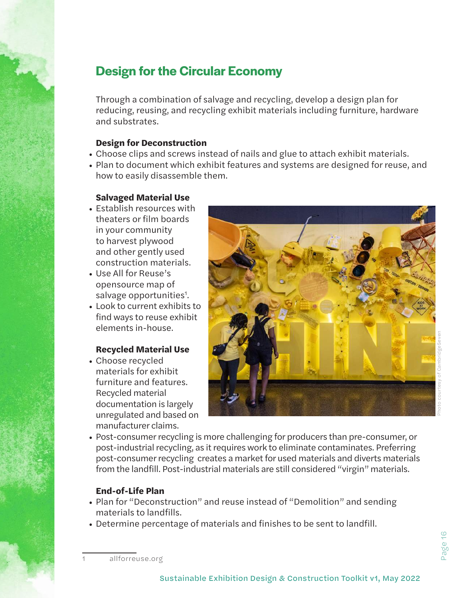# **Design for the Circular Economy**

Through a combination of salvage and recycling, develop a design plan for reducing, reusing, and recycling exhibit materials including furniture, hardware and substrates.

#### **Design for Deconstruction**

- Choose clips and screws instead of nails and glue to attach exhibit materials.
- Plan to document which exhibit features and systems are designed for reuse, and how to easily disassemble them.

#### **Salvaged Material Use**

- Establish resources with theaters or film boards in your community to harvest plywood and other gently used construction materials.
- Use All for Reuse's opensource map of salvage opportunities<sup>1</sup>.
- Look to current exhibits to find ways to reuse exhibit elements in-house.

#### **Recycled Material Use**

• Choose recycled materials for exhibit furniture and features. Recycled material documentation is largely unregulated and based on manufacturer claims.



- Photo courtesy of CambridgeSeven
- Post-consumer recycling is more challenging for producers than pre-consumer, or post-industrial recycling, as it requires work to eliminate contaminates. Preferring post-consumer recycling creates a market for used materials and diverts materials from the landfill. Post-industrial materials are still considered "virgin" materials.

#### **End-of-Life Plan**

- Plan for "Deconstruction" and reuse instead of "Demolition" and sending materials to landfills.
- Determine percentage of materials and finishes to be sent to landfill.

allforreuse.org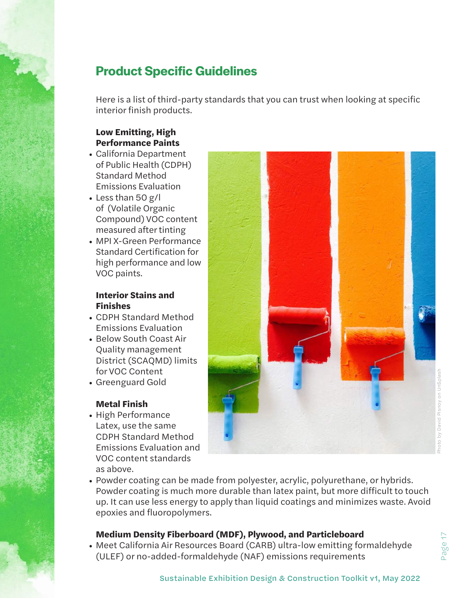# **Product Specific Guidelines**

Here is a list of third-party standards that you can trust when looking at specific interior finish products.

#### **Low Emitting, High Performance Paints**

- California Department of Public Health (CDPH) Standard Method Emissions Evaluation
- Less than 50 g/l of (Volatile Organic Compound) VOC content measured after tinting
- MPI X-Green Performance Standard Certification for high performance and low VOC paints.

#### **Interior Stains and Finishes**

- CDPH Standard Method Emissions Evaluation
- Below South Coast Air Quality management District (SCAQMD) limits for VOC Content
- Greenguard Gold

#### **Metal Finish**

• High Performance Latex, use the same CDPH Standard Method Emissions Evaluation and VOC content standards as above.



• Powder coating can be made from polyester, acrylic, polyurethane, or hybrids. Powder coating is much more durable than latex paint, but more difficult to touch up. It can use less energy to apply than liquid coatings and minimizes waste. Avoid epoxies and fluoropolymers.

#### **Medium Density Fiberboard (MDF), Plywood, and Particleboard**

• Meet California Air Resources Board (CARB) ultra-low emitting formaldehyde (ULEF) or no-added-formaldehyde (NAF) emissions requirements

Page 17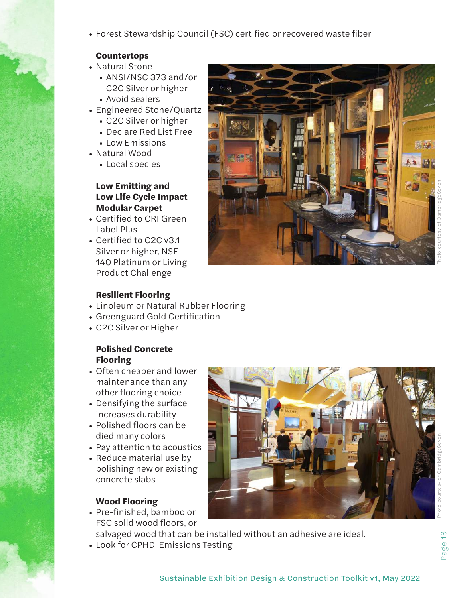• Forest Stewardship Council (FSC) certified or recovered waste fiber

#### **Countertops**

- Natural Stone
	- ANSI/NSC 373 and/or C2C Silver or higher
	- Avoid sealers
- Engineered Stone/Quartz
	- C2C Silver or higher
	- Declare Red List Free
	- Low Emissions
- Natural Wood
	- Local species

#### **Low Emitting and Low Life Cycle Impact Modular Carpet**

- Certified to CRI Green Label Plus
- Certified to C2C v3.1 Silver or higher, NSF 140 Platinum or Living Product Challenge

Page 18

#### **Resilient Flooring**

- Linoleum or Natural Rubber Flooring
- Greenguard Gold Certification
- C2C Silver or Higher

#### **Polished Concrete Flooring**

- Often cheaper and lower maintenance than any other flooring choice
- Densifying the surface increases durability
- Polished floors can be died many colors
- Pay attention to acoustics
- Reduce material use by polishing new or existing concrete slabs

#### **Wood Flooring**

- Pre-finished, bamboo or FSC solid wood floors, or
- salvaged wood that can be installed without an adhesive are ideal.
- Look for CPHD Emissions Testing

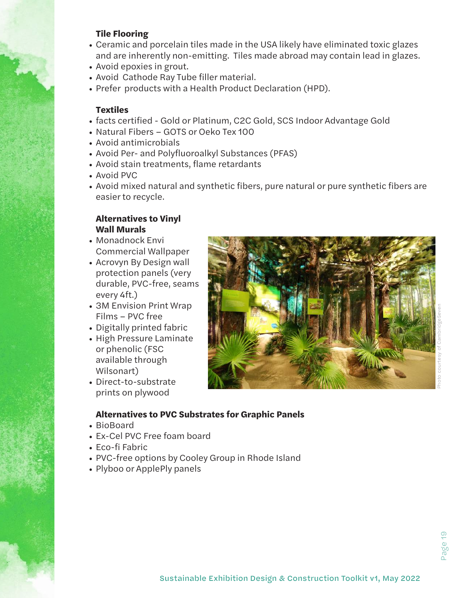#### **Tile Flooring**

- Ceramic and porcelain tiles made in the USA likely have eliminated toxic glazes and are inherently non-emitting. Tiles made abroad may contain lead in glazes.
- Avoid epoxies in grout.
- Avoid Cathode Ray Tube filler material.
- Prefer products with a Health Product Declaration (HPD).

#### **Textiles**

- facts certified Gold or Platinum, C2C Gold, SCS Indoor Advantage Gold
- Natural Fibers GOTS or Oeko Tex 100
- Avoid antimicrobials
- Avoid Per- and Polyfluoroalkyl Substances (PFAS)
- Avoid stain treatments, flame retardants
- Avoid PVC
- Avoid mixed natural and synthetic fibers, pure natural or pure synthetic fibers are easier to recycle.

#### **Alternatives to Vinyl Wall Murals**

- Monadnock Envi Commercial Wallpaper
- Acrovyn By Design wall protection panels (very durable, PVC-free, seams every 4ft.)
- 3M Envision Print Wrap Films – PVC free
- Digitally printed fabric
- High Pressure Laminate or phenolic (FSC available through Wilsonart)
- Direct-to-substrate prints on plywood



#### **Alternatives to PVC Substrates for Graphic Panels**

- BioBoard
- Ex-Cel PVC Free foam board
- Eco-fi Fabric
- PVC-free options by Cooley Group in Rhode Island
- Plyboo or ApplePly panels